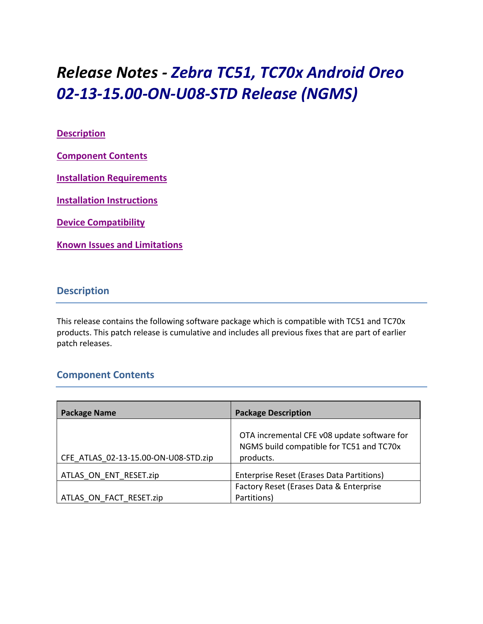# *Release Notes - Zebra TC51, TC70x Android Oreo 02-13-15.00-ON-U08-STD Release (NGMS)*

### **[Description](#page-0-0)**

**[Component Contents](#page-0-1)**

**[Installation Requirements](#page-2-0)**

**[Installation Instructions](#page-3-0)**

**[Device Compatibility](#page-4-0)**

**Known [Issues and Limitations](#page-5-0)**

# <span id="page-0-0"></span>**Description**

This release contains the following software package which is compatible with TC51 and TC70x products. This patch release is cumulative and includes all previous fixes that are part of earlier patch releases.

# <span id="page-0-1"></span>**Component Contents**

| <b>Package Name</b>                  | <b>Package Description</b>                                                                           |
|--------------------------------------|------------------------------------------------------------------------------------------------------|
| CFE ATLAS 02-13-15.00-ON-U08-STD.zip | OTA incremental CFE v08 update software for<br>NGMS build compatible for TC51 and TC70x<br>products. |
| ATLAS ON ENT RESET.zip               | Enterprise Reset (Erases Data Partitions)                                                            |
| ATLAS_ON_FACT_RESET.zip              | Factory Reset (Erases Data & Enterprise<br>Partitions)                                               |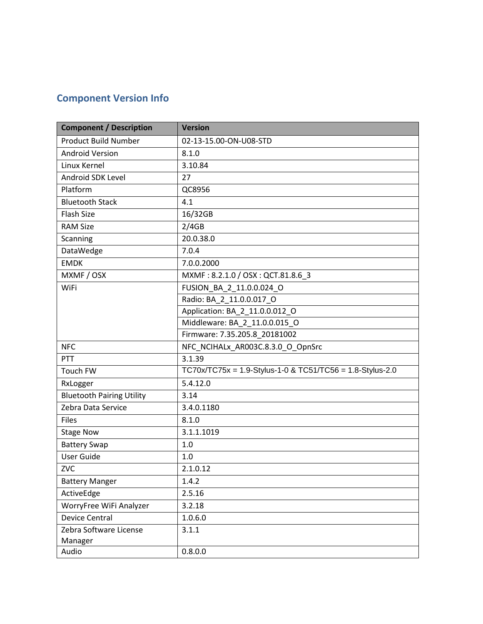# **Component Version Info**

| <b>Component / Description</b>   | <b>Version</b>                                            |
|----------------------------------|-----------------------------------------------------------|
| <b>Product Build Number</b>      | 02-13-15.00-ON-U08-STD                                    |
| <b>Android Version</b>           | 8.1.0                                                     |
| Linux Kernel                     | 3.10.84                                                   |
| Android SDK Level                | 27                                                        |
| Platform                         | QC8956                                                    |
| <b>Bluetooth Stack</b>           | 4.1                                                       |
| <b>Flash Size</b>                | 16/32GB                                                   |
| <b>RAM Size</b>                  | 2/4GB                                                     |
| Scanning                         | 20.0.38.0                                                 |
| DataWedge                        | 7.0.4                                                     |
| <b>EMDK</b>                      | 7.0.0.2000                                                |
| MXMF / OSX                       | MXMF: 8.2.1.0 / OSX: QCT.81.8.6 3                         |
| WiFi                             | FUSION_BA_2_11.0.0.024_O                                  |
|                                  | Radio: BA_2_11.0.0.017_O                                  |
|                                  | Application: BA 2 11.0.0.012 O                            |
|                                  | Middleware: BA_2_11.0.0.015_O                             |
|                                  | Firmware: 7.35.205.8_20181002                             |
| <b>NFC</b>                       | NFC_NCIHALx_AR003C.8.3.0_O_OpnSrc                         |
| PTT                              | 3.1.39                                                    |
| Touch FW                         | TC70x/TC75x = 1.9-Stylus-1-0 & TC51/TC56 = 1.8-Stylus-2.0 |
| RxLogger                         | 5.4.12.0                                                  |
| <b>Bluetooth Pairing Utility</b> | 3.14                                                      |
| Zebra Data Service               | 3.4.0.1180                                                |
| <b>Files</b>                     | 8.1.0                                                     |
| <b>Stage Now</b>                 | 3.1.1.1019                                                |
| <b>Battery Swap</b>              | 1.0                                                       |
| <b>User Guide</b>                | 1.0                                                       |
| ZVC                              | 2.1.0.12                                                  |
| <b>Battery Manger</b>            | 1.4.2                                                     |
| ActiveEdge                       | 2.5.16                                                    |
| WorryFree WiFi Analyzer          | 3.2.18                                                    |
| <b>Device Central</b>            | 1.0.6.0                                                   |
| Zebra Software License           | 3.1.1                                                     |
| Manager                          |                                                           |
| Audio                            | 0.8.0.0                                                   |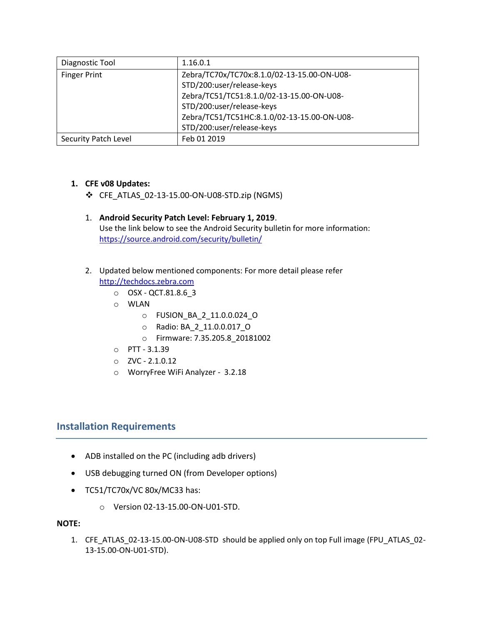| Diagnostic Tool      | 1.16.0.1                                    |  |
|----------------------|---------------------------------------------|--|
| <b>Finger Print</b>  | Zebra/TC70x/TC70x:8.1.0/02-13-15.00-ON-U08- |  |
|                      | STD/200:user/release-keys                   |  |
|                      | Zebra/TC51/TC51:8.1.0/02-13-15.00-ON-U08-   |  |
|                      | STD/200:user/release-keys                   |  |
|                      | Zebra/TC51/TC51HC:8.1.0/02-13-15.00-ON-U08- |  |
|                      | STD/200:user/release-keys                   |  |
| Security Patch Level | Feb 01 2019                                 |  |

#### **1. CFE v08 Updates:**

- ❖ CFE\_ATLAS\_02-13-15.00-ON-U08-STD.zip (NGMS)
- 1. **Android Security Patch Level: February 1, 2019**. Use the link below to see the Android Security bulletin for more information: <https://source.android.com/security/bulletin/>
- 2. Updated below mentioned components: For more detail please refer [http://techdocs.zebra.com](http://techdocs.zebra.com/)
	- o OSX QCT.81.8.6\_3
	- o WLAN
		- o FUSION\_BA\_2\_11.0.0.024\_O
		- o Radio: BA\_2\_11.0.0.017\_O
		- o Firmware: 7.35.205.8\_20181002
	- o PTT 3.1.39
	- o ZVC 2.1.0.12
	- o WorryFree WiFi Analyzer 3.2.18

# <span id="page-2-0"></span>**Installation Requirements**

- ADB installed on the PC (including adb drivers)
- USB debugging turned ON (from Developer options)
- TC51/TC70x/VC 80x/MC33 has:
	- o Version 02-13-15.00-ON-U01-STD.

#### **NOTE:**

1. CFE\_ATLAS\_02-13-15.00-ON-U08-STD\_should be applied only on top Full image (FPU\_ATLAS\_02-13-15.00-ON-U01-STD).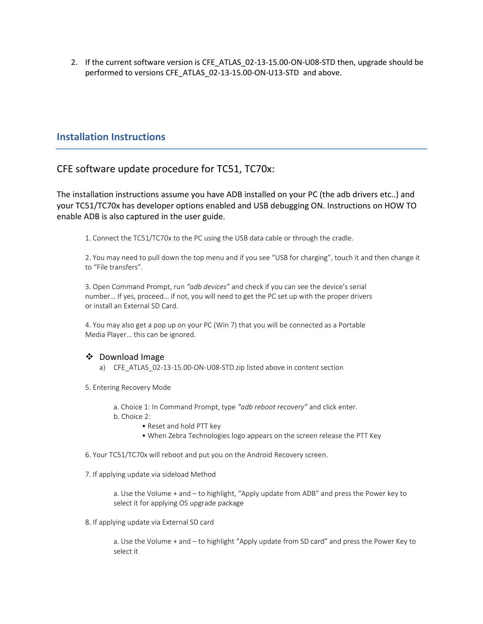2. If the current software version is CFE\_ATLAS\_02-13-15.00-ON-U08-STD then, upgrade should be performed to versions CFE\_ATLAS\_02-13-15.00-ON-U13-STD and above.

## <span id="page-3-0"></span>**Installation Instructions**

# CFE software update procedure for TC51, TC70x:

The installation instructions assume you have ADB installed on your PC (the adb drivers etc..) and your TC51/TC70x has developer options enabled and USB debugging ON. Instructions on HOW TO enable ADB is also captured in the user guide.

1. Connect the TC51/TC70x to the PC using the USB data cable or through the cradle.

2. You may need to pull down the top menu and if you see "USB for charging", touch it and then change it to "File transfers".

3. Open Command Prompt, run *"adb devices"* and check if you can see the device's serial number… If yes, proceed… if not, you will need to get the PC set up with the proper drivers or install an External SD Card.

4. You may also get a pop up on your PC (Win 7) that you will be connected as a Portable Media Player… this can be ignored.

#### ❖ Download Image

- a) CFE\_ATLAS\_02-13-15.00-ON-U08-STD.zip listed above in content section
- 5. Entering Recovery Mode
	- a. Choice 1: In Command Prompt, type *"adb reboot recovery"* and click enter.
	- b. Choice 2:
		- Reset and hold PTT key
		- When Zebra Technologies logo appears on the screen release the PTT Key
- 6. Your TC51/TC70x will reboot and put you on the Android Recovery screen.
- 7. If applying update via sideload Method

a. Use the Volume + and – to highlight, "Apply update from ADB" and press the Power key to select it for applying OS upgrade package

8. If applying update via External SD card

a. Use the Volume + and – to highlight "Apply update from SD card" and press the Power Key to select it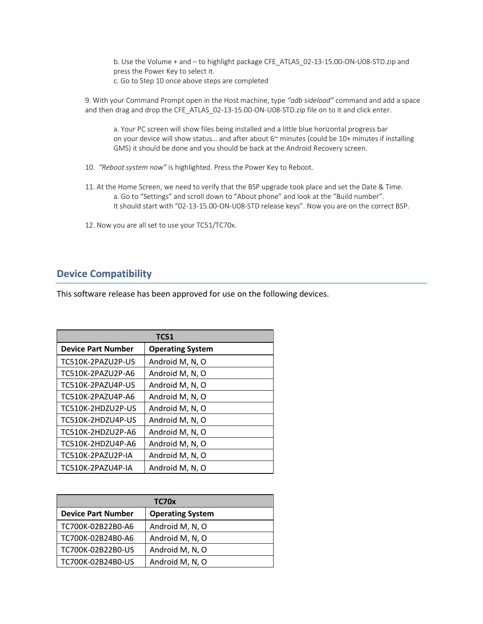b. Use the Volume + and – to highlight package CFE\_ATLAS\_02-13-15.00-ON-U08-STD.zip and press the Power Key to select it. c. Go to Step 10 once above steps are completed

9. With your Command Prompt open in the Host machine, type *"adb sideload"* command and add a space and then drag and drop the CFE\_ATLAS\_02-13-15.00-ON-U08-STD.zip file on to it and click enter.

a. Your PC screen will show files being installed and a little blue horizontal progress bar on your device will show status… and after about 6~ minutes (could be 10+ minutes if installing GMS) it should be done and you should be back at the Android Recovery screen.

10. *"Reboot system now"* is highlighted. Press the Power Key to Reboot.

- 11. At the Home Screen, we need to verify that the BSP upgrade took place and set the Date & Time. a. Go to "Settings" and scroll down to "About phone" and look at the "Build number". It should start with "02-13-15.00-ON-U08-STD release keys". Now you are on the correct BSP.
- 12. Now you are all set to use your TC51/TC70x.

# <span id="page-4-0"></span>**Device Compatibility**

This software release has been approved for use on the following devices.

| <b>TC51</b>               |                         |  |
|---------------------------|-------------------------|--|
| <b>Device Part Number</b> | <b>Operating System</b> |  |
| TC510K-2PAZU2P-US         | Android M, N, O         |  |
| TC510K-2PAZU2P-A6         | Android M, N, O         |  |
| TC510K-2PAZU4P-US         | Android M, N, O         |  |
| TC510K-2PAZU4P-A6         | Android M, N, O         |  |
| TC510K-2HDZU2P-US         | Android M, N, O         |  |
| TC510K-2HDZU4P-US         | Android M, N, O         |  |
| TC510K-2HDZU2P-A6         | Android M, N, O         |  |
| TC510K-2HDZU4P-A6         | Android M, N, O         |  |
| TC510K-2PAZU2P-IA         | Android M, N, O         |  |
| TC510K-2PAZU4P-IA         | Android M, N, O         |  |

| TC70x                     |                         |  |
|---------------------------|-------------------------|--|
| <b>Device Part Number</b> | <b>Operating System</b> |  |
| TC700K-02B22B0-A6         | Android M, N, O         |  |
| TC700K-02B24B0-A6         | Android M, N, O         |  |
| TC700K-02B22B0-US         | Android M, N, O         |  |
| TC700K-02B24B0-US         | Android M, N, O         |  |